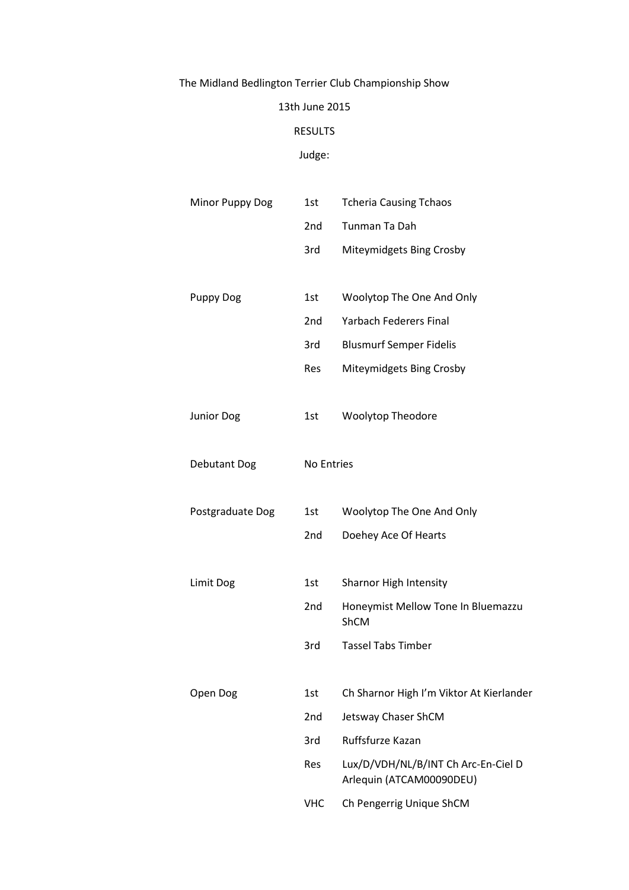# The Midland Bedlington Terrier Club Championship Show

### 13th June 2015

#### RESULTS

### Judge:

| Minor Puppy Dog     | 1st             | <b>Tcheria Causing Tchaos</b>                                   |  |
|---------------------|-----------------|-----------------------------------------------------------------|--|
|                     | 2 <sub>nd</sub> | Tunman Ta Dah                                                   |  |
|                     | 3rd             | Miteymidgets Bing Crosby                                        |  |
|                     |                 |                                                                 |  |
| <b>Puppy Dog</b>    | 1st             | Woolytop The One And Only                                       |  |
|                     | 2nd             | <b>Yarbach Federers Final</b>                                   |  |
|                     | 3rd             | <b>Blusmurf Semper Fidelis</b>                                  |  |
|                     | Res             | Miteymidgets Bing Crosby                                        |  |
| <b>Junior Dog</b>   | 1st             | <b>Woolytop Theodore</b>                                        |  |
| <b>Debutant Dog</b> | No Entries      |                                                                 |  |
| Postgraduate Dog    | 1st             | Woolytop The One And Only                                       |  |
|                     | 2nd             | Doehey Ace Of Hearts                                            |  |
| Limit Dog           | 1st             | Sharnor High Intensity                                          |  |
|                     |                 |                                                                 |  |
|                     | 2nd             | Honeymist Mellow Tone In Bluemazzu<br>ShCM                      |  |
|                     | 3rd             | <b>Tassel Tabs Timber</b>                                       |  |
|                     |                 |                                                                 |  |
| Open Dog            | 1st             | Ch Sharnor High I'm Viktor At Kierlander                        |  |
|                     | 2nd             | Jetsway Chaser ShCM                                             |  |
|                     | 3rd             | Ruffsfurze Kazan                                                |  |
|                     | Res             | Lux/D/VDH/NL/B/INT Ch Arc-En-Ciel D<br>Arlequin (ATCAM00090DEU) |  |
|                     | <b>VHC</b>      | Ch Pengerrig Unique ShCM                                        |  |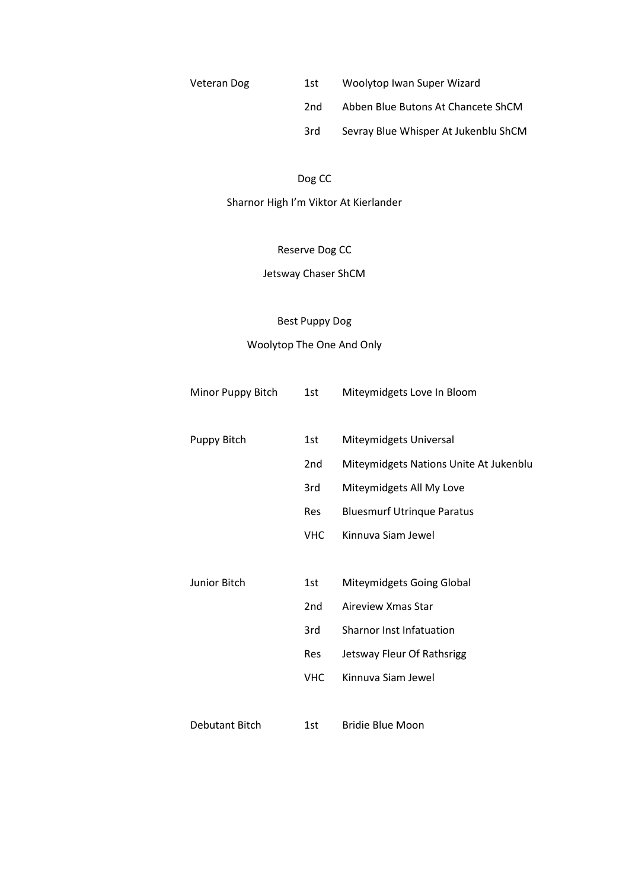| Veteran Dog | 1st | Woolytop Iwan Super Wizard           |
|-------------|-----|--------------------------------------|
|             | 2nd | Abben Blue Butons At Chancete ShCM   |
|             | 3rd | Sevray Blue Whisper At Jukenblu ShCM |

### Dog CC

Sharnor High I'm Viktor At Kierlander

### Reserve Dog CC

### Jetsway Chaser ShCM

## Best Puppy Dog

## Woolytop The One And Only

| Minor Puppy Bitch     | 1st             | Miteymidgets Love In Bloom             |
|-----------------------|-----------------|----------------------------------------|
| <b>Puppy Bitch</b>    | 1st             | Miteymidgets Universal                 |
|                       | 2 <sub>nd</sub> | Miteymidgets Nations Unite At Jukenblu |
|                       | 3rd             | Miteymidgets All My Love               |
|                       | <b>Res</b>      | <b>Bluesmurf Utrinque Paratus</b>      |
|                       | <b>VHC</b>      | Kinnuva Siam Jewel                     |
|                       |                 |                                        |
| Junior Bitch          | 1st             | Miteymidgets Going Global              |
|                       | 2 <sub>nd</sub> | Aireview Xmas Star                     |
|                       | 3rd             | <b>Sharnor Inst Infatuation</b>        |
|                       | <b>Res</b>      | Jetsway Fleur Of Rathsrigg             |
|                       | <b>VHC</b>      | Kinnuva Siam Jewel                     |
|                       |                 |                                        |
| <b>Debutant Bitch</b> | 1st             | <b>Bridie Blue Moon</b>                |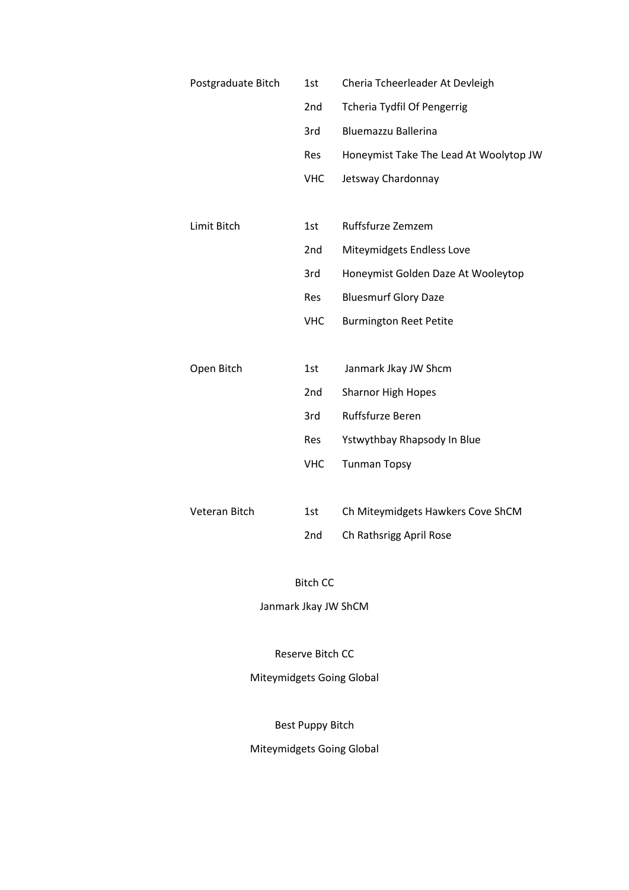| Postgraduate Bitch | 1st             | Cheria Tcheerleader At Devleigh        |
|--------------------|-----------------|----------------------------------------|
|                    | 2nd             | <b>Tcheria Tydfil Of Pengerrig</b>     |
|                    | 3rd             | <b>Bluemazzu Ballerina</b>             |
|                    | <b>Res</b>      | Honeymist Take The Lead At Woolytop JW |
|                    | <b>VHC</b>      | Jetsway Chardonnay                     |
|                    |                 |                                        |
| Limit Bitch        | 1st             | Ruffsfurze Zemzem                      |
|                    | 2 <sub>nd</sub> | Miteymidgets Endless Love              |
|                    | 3rd             | Honeymist Golden Daze At Wooleytop     |
|                    | Res             | <b>Bluesmurf Glory Daze</b>            |
|                    | <b>VHC</b>      | <b>Burmington Reet Petite</b>          |
|                    |                 |                                        |
| Open Bitch         | 1st             | Janmark Jkay JW Shcm                   |
|                    | 2 <sub>nd</sub> | <b>Sharnor High Hopes</b>              |
|                    | 3rd             | Ruffsfurze Beren                       |
|                    | <b>Res</b>      | Ystwythbay Rhapsody In Blue            |
|                    | <b>VHC</b>      | <b>Tunman Topsy</b>                    |
|                    |                 |                                        |
| Veteran Bitch      | 1st             | Ch Miteymidgets Hawkers Cove ShCM      |
|                    | 2nd             | Ch Rathsrigg April Rose                |

### Bitch CC

Janmark Jkay JW ShCM

Reserve Bitch CC

## Miteymidgets Going Global

Best Puppy Bitch

Miteymidgets Going Global